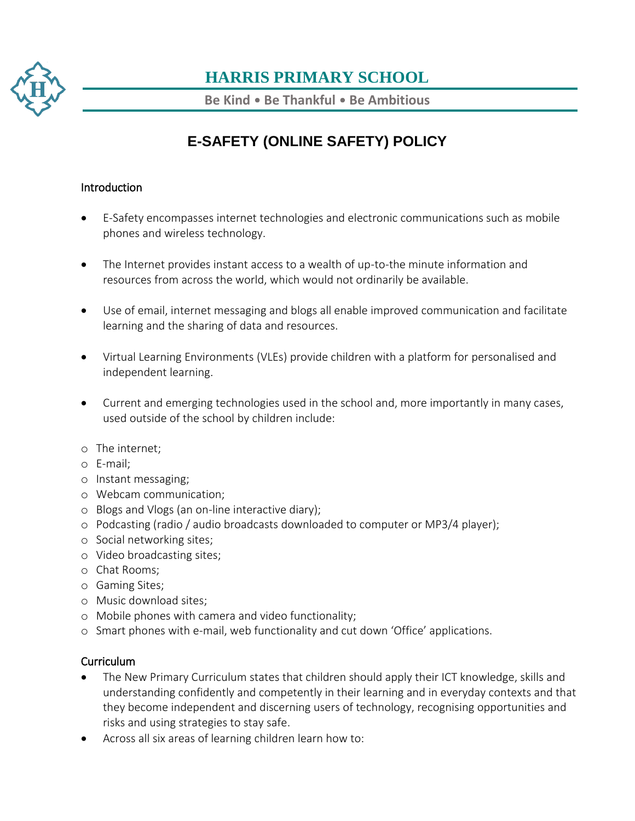

**Be Kind** • **Be Thankful** • **Be Ambitious**

# **E-SAFETY (ONLINE SAFETY) POLICY**

#### Introduction

- E-Safety encompasses internet technologies and electronic communications such as mobile phones and wireless technology.
- The Internet provides instant access to a wealth of up-to-the minute information and resources from across the world, which would not ordinarily be available.
- Use of email, internet messaging and blogs all enable improved communication and facilitate learning and the sharing of data and resources.
- Virtual Learning Environments (VLEs) provide children with a platform for personalised and independent learning.
- Current and emerging technologies used in the school and, more importantly in many cases, used outside of the school by children include:
- o The internet;
- o E-mail;
- o Instant messaging;
- o Webcam communication;
- o Blogs and Vlogs (an on-line interactive diary);
- o Podcasting (radio / audio broadcasts downloaded to computer or MP3/4 player);
- o Social networking sites;
- o Video broadcasting sites;
- o Chat Rooms;
- o Gaming Sites;
- o Music download sites;
- o Mobile phones with camera and video functionality;
- o Smart phones with e-mail, web functionality and cut down 'Office' applications.

#### Curriculum

- The New Primary Curriculum states that children should apply their ICT knowledge, skills and understanding confidently and competently in their learning and in everyday contexts and that they become independent and discerning users of technology, recognising opportunities and risks and using strategies to stay safe.
- Across all six areas of learning children learn how to: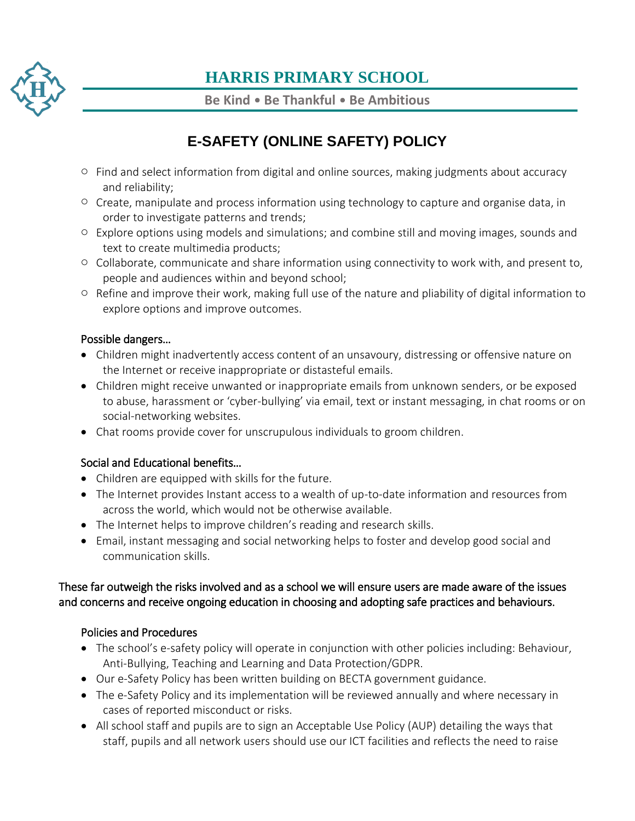

**Be Kind** • **Be Thankful** • **Be Ambitious**

# **E-SAFETY (ONLINE SAFETY) POLICY**

- $\circ$  Find and select information from digital and online sources, making judgments about accuracy and reliability;
- o Create, manipulate and process information using technology to capture and organise data, in order to investigate patterns and trends;
- o Explore options using models and simulations; and combine still and moving images, sounds and text to create multimedia products;
- o Collaborate, communicate and share information using connectivity to work with, and present to, people and audiences within and beyond school;
- o Refine and improve their work, making full use of the nature and pliability of digital information to explore options and improve outcomes.

#### Possible dangers…

- Children might inadvertently access content of an unsavoury, distressing or offensive nature on the Internet or receive inappropriate or distasteful emails.
- Children might receive unwanted or inappropriate emails from unknown senders, or be exposed to abuse, harassment or 'cyber-bullying' via email, text or instant messaging, in chat rooms or on social-networking websites.
- Chat rooms provide cover for unscrupulous individuals to groom children.

### Social and Educational benefits…

- Children are equipped with skills for the future.
- The Internet provides Instant access to a wealth of up-to-date information and resources from across the world, which would not be otherwise available.
- The Internet helps to improve children's reading and research skills.
- Email, instant messaging and social networking helps to foster and develop good social and communication skills.

#### These far outweigh the risks involved and as a school we will ensure users are made aware of the issues and concerns and receive ongoing education in choosing and adopting safe practices and behaviours.

### Policies and Procedures

- The school's e-safety policy will operate in conjunction with other policies including: Behaviour, Anti-Bullying, Teaching and Learning and Data Protection/GDPR.
- Our e-Safety Policy has been written building on BECTA government guidance.
- The e-Safety Policy and its implementation will be reviewed annually and where necessary in cases of reported misconduct or risks.
- All school staff and pupils are to sign an Acceptable Use Policy (AUP) detailing the ways that staff, pupils and all network users should use our ICT facilities and reflects the need to raise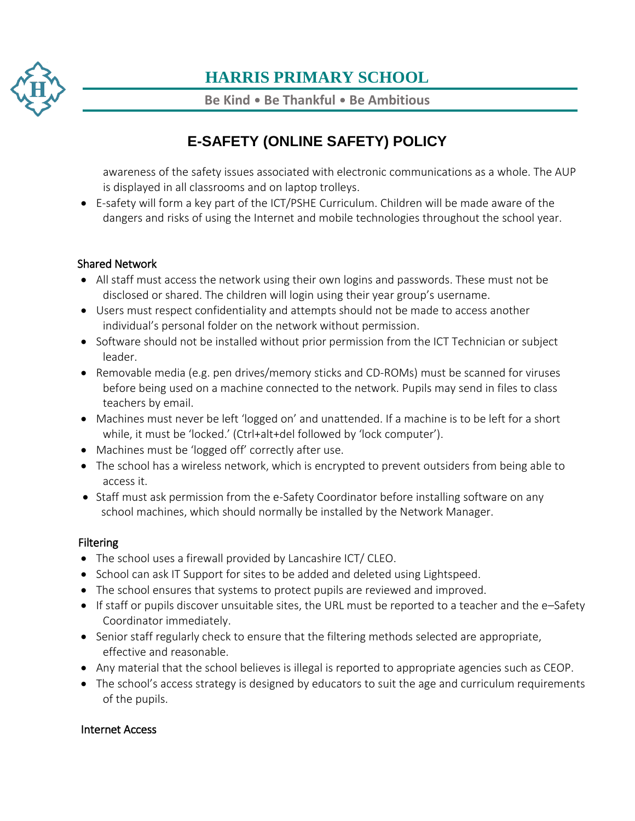

**Be Kind** • **Be Thankful** • **Be Ambitious**

# **E-SAFETY (ONLINE SAFETY) POLICY**

awareness of the safety issues associated with electronic communications as a whole. The AUP is displayed in all classrooms and on laptop trolleys.

 E-safety will form a key part of the ICT/PSHE Curriculum. Children will be made aware of the dangers and risks of using the Internet and mobile technologies throughout the school year.

### Shared Network

- All staff must access the network using their own logins and passwords. These must not be disclosed or shared. The children will login using their year group's username.
- Users must respect confidentiality and attempts should not be made to access another individual's personal folder on the network without permission.
- Software should not be installed without prior permission from the ICT Technician or subject leader.
- Removable media (e.g. pen drives/memory sticks and CD-ROMs) must be scanned for viruses before being used on a machine connected to the network. Pupils may send in files to class teachers by email.
- Machines must never be left 'logged on' and unattended. If a machine is to be left for a short while, it must be 'locked.' (Ctrl+alt+del followed by 'lock computer').
- Machines must be 'logged off' correctly after use.
- The school has a wireless network, which is encrypted to prevent outsiders from being able to access it.
- Staff must ask permission from the e-Safety Coordinator before installing software on any school machines, which should normally be installed by the Network Manager.

### **Filtering**

- The school uses a firewall provided by Lancashire ICT/ CLEO.
- School can ask IT Support for sites to be added and deleted using Lightspeed.
- The school ensures that systems to protect pupils are reviewed and improved.
- If staff or pupils discover unsuitable sites, the URL must be reported to a teacher and the e–Safety Coordinator immediately.
- Senior staff regularly check to ensure that the filtering methods selected are appropriate, effective and reasonable.
- Any material that the school believes is illegal is reported to appropriate agencies such as CEOP.
- The school's access strategy is designed by educators to suit the age and curriculum requirements of the pupils.

#### Internet Access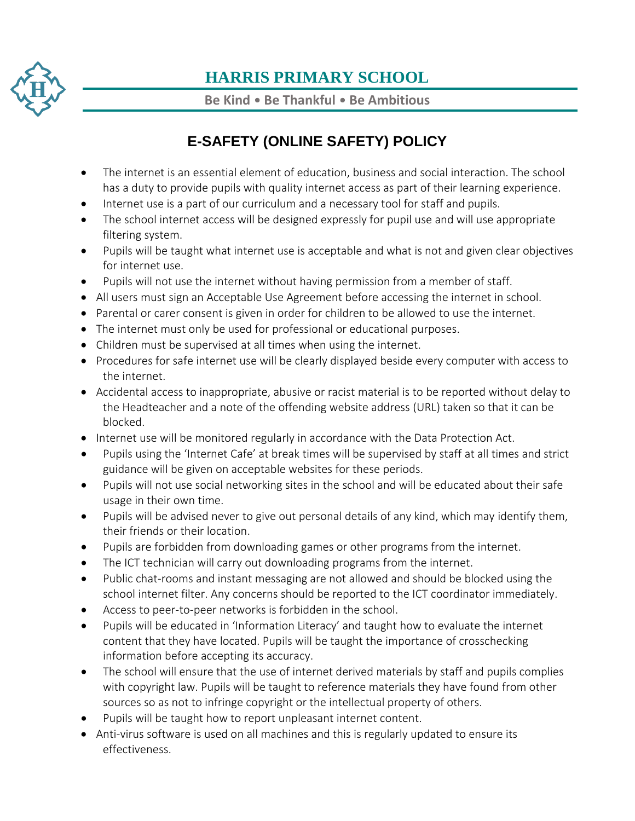

**Be Kind** • **Be Thankful** • **Be Ambitious**

# **E-SAFETY (ONLINE SAFETY) POLICY**

- The internet is an essential element of education, business and social interaction. The school has a duty to provide pupils with quality internet access as part of their learning experience.
- Internet use is a part of our curriculum and a necessary tool for staff and pupils.
- The school internet access will be designed expressly for pupil use and will use appropriate filtering system.
- Pupils will be taught what internet use is acceptable and what is not and given clear objectives for internet use.
- Pupils will not use the internet without having permission from a member of staff.
- All users must sign an Acceptable Use Agreement before accessing the internet in school.
- Parental or carer consent is given in order for children to be allowed to use the internet.
- The internet must only be used for professional or educational purposes.
- Children must be supervised at all times when using the internet.
- Procedures for safe internet use will be clearly displayed beside every computer with access to the internet.
- Accidental access to inappropriate, abusive or racist material is to be reported without delay to the Headteacher and a note of the offending website address (URL) taken so that it can be blocked.
- Internet use will be monitored regularly in accordance with the Data Protection Act.
- Pupils using the 'Internet Cafe' at break times will be supervised by staff at all times and strict guidance will be given on acceptable websites for these periods.
- Pupils will not use social networking sites in the school and will be educated about their safe usage in their own time.
- Pupils will be advised never to give out personal details of any kind, which may identify them, their friends or their location.
- Pupils are forbidden from downloading games or other programs from the internet.
- The ICT technician will carry out downloading programs from the internet.
- Public chat-rooms and instant messaging are not allowed and should be blocked using the school internet filter. Any concerns should be reported to the ICT coordinator immediately.
- Access to peer-to-peer networks is forbidden in the school.
- Pupils will be educated in 'Information Literacy' and taught how to evaluate the internet content that they have located. Pupils will be taught the importance of crosschecking information before accepting its accuracy.
- The school will ensure that the use of internet derived materials by staff and pupils complies with copyright law. Pupils will be taught to reference materials they have found from other sources so as not to infringe copyright or the intellectual property of others.
- Pupils will be taught how to report unpleasant internet content.
- Anti-virus software is used on all machines and this is regularly updated to ensure its effectiveness.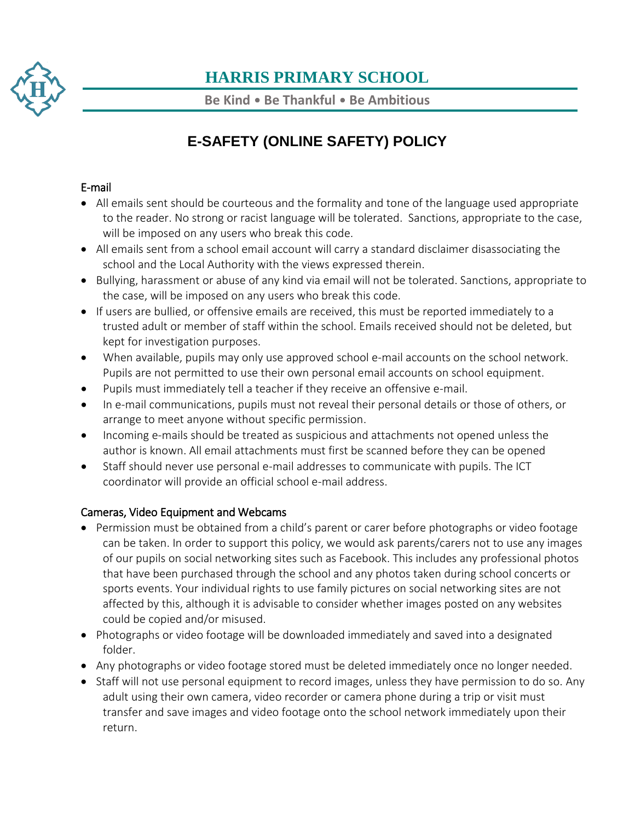

**Be Kind** • **Be Thankful** • **Be Ambitious**

# **E-SAFETY (ONLINE SAFETY) POLICY**

### E-mail

- All emails sent should be courteous and the formality and tone of the language used appropriate to the reader. No strong or racist language will be tolerated. Sanctions, appropriate to the case, will be imposed on any users who break this code.
- All emails sent from a school email account will carry a standard disclaimer disassociating the school and the Local Authority with the views expressed therein.
- Bullying, harassment or abuse of any kind via email will not be tolerated. Sanctions, appropriate to the case, will be imposed on any users who break this code.
- If users are bullied, or offensive emails are received, this must be reported immediately to a trusted adult or member of staff within the school. Emails received should not be deleted, but kept for investigation purposes.
- When available, pupils may only use approved school e-mail accounts on the school network. Pupils are not permitted to use their own personal email accounts on school equipment.
- Pupils must immediately tell a teacher if they receive an offensive e-mail.
- In e-mail communications, pupils must not reveal their personal details or those of others, or arrange to meet anyone without specific permission.
- Incoming e-mails should be treated as suspicious and attachments not opened unless the author is known. All email attachments must first be scanned before they can be opened
- Staff should never use personal e-mail addresses to communicate with pupils. The ICT coordinator will provide an official school e-mail address.

### Cameras, Video Equipment and Webcams

- Permission must be obtained from a child's parent or carer before photographs or video footage can be taken. In order to support this policy, we would ask parents/carers not to use any images of our pupils on social networking sites such as Facebook. This includes any professional photos that have been purchased through the school and any photos taken during school concerts or sports events. Your individual rights to use family pictures on social networking sites are not affected by this, although it is advisable to consider whether images posted on any websites could be copied and/or misused.
- Photographs or video footage will be downloaded immediately and saved into a designated folder.
- Any photographs or video footage stored must be deleted immediately once no longer needed.
- Staff will not use personal equipment to record images, unless they have permission to do so. Any adult using their own camera, video recorder or camera phone during a trip or visit must transfer and save images and video footage onto the school network immediately upon their return.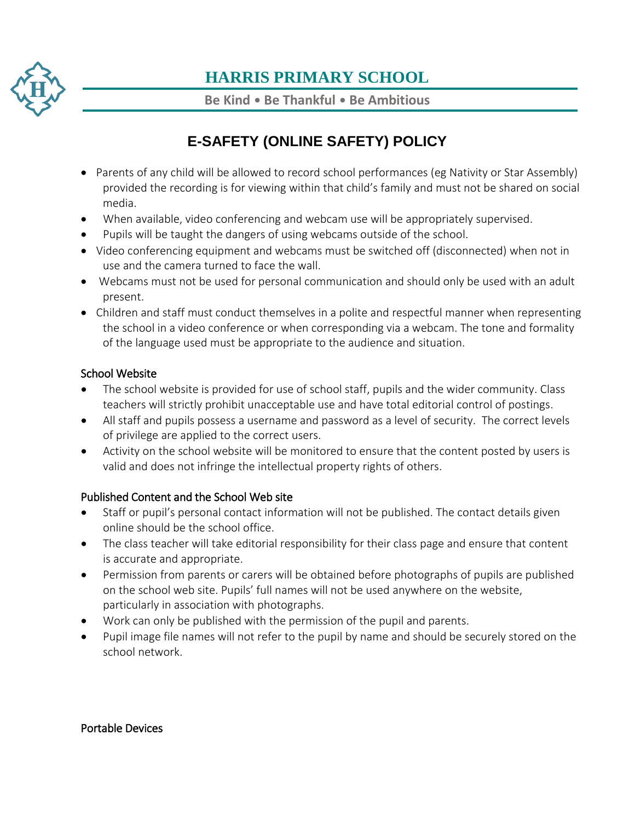

**Be Kind** • **Be Thankful** • **Be Ambitious**

# **E-SAFETY (ONLINE SAFETY) POLICY**

- Parents of any child will be allowed to record school performances (eg Nativity or Star Assembly) provided the recording is for viewing within that child's family and must not be shared on social media.
- When available, video conferencing and webcam use will be appropriately supervised.
- Pupils will be taught the dangers of using webcams outside of the school.
- Video conferencing equipment and webcams must be switched off (disconnected) when not in use and the camera turned to face the wall.
- Webcams must not be used for personal communication and should only be used with an adult present.
- Children and staff must conduct themselves in a polite and respectful manner when representing the school in a video conference or when corresponding via a webcam. The tone and formality of the language used must be appropriate to the audience and situation.

### School Website

- The school website is provided for use of school staff, pupils and the wider community. Class teachers will strictly prohibit unacceptable use and have total editorial control of postings.
- All staff and pupils possess a username and password as a level of security. The correct levels of privilege are applied to the correct users.
- Activity on the school website will be monitored to ensure that the content posted by users is valid and does not infringe the intellectual property rights of others.

### Published Content and the School Web site

- Staff or pupil's personal contact information will not be published. The contact details given online should be the school office.
- The class teacher will take editorial responsibility for their class page and ensure that content is accurate and appropriate.
- Permission from parents or carers will be obtained before photographs of pupils are published on the school web site. Pupils' full names will not be used anywhere on the website, particularly in association with photographs.
- Work can only be published with the permission of the pupil and parents.
- Pupil image file names will not refer to the pupil by name and should be securely stored on the school network.

#### Portable Devices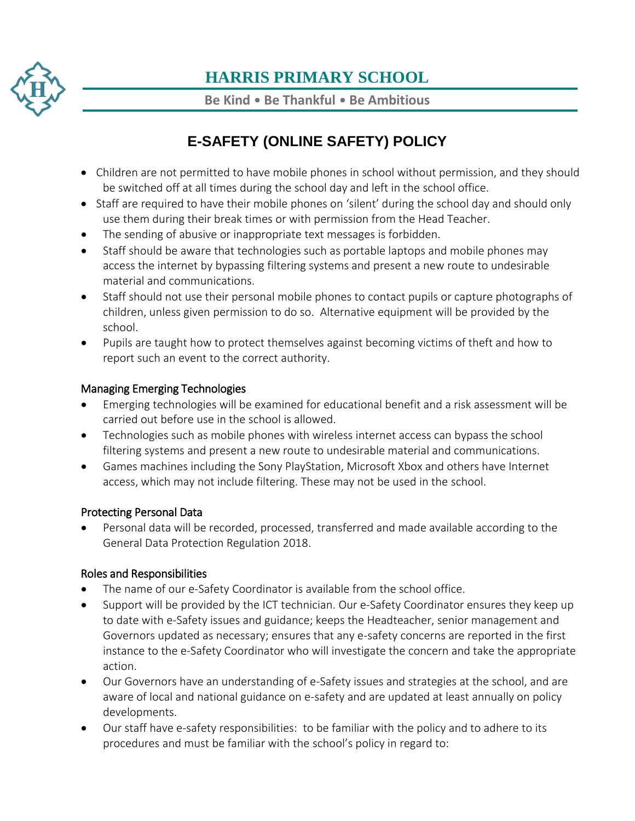

**Be Kind** • **Be Thankful** • **Be Ambitious**

# **E-SAFETY (ONLINE SAFETY) POLICY**

- Children are not permitted to have mobile phones in school without permission, and they should be switched off at all times during the school day and left in the school office.
- Staff are required to have their mobile phones on 'silent' during the school day and should only use them during their break times or with permission from the Head Teacher.
- The sending of abusive or inappropriate text messages is forbidden.
- Staff should be aware that technologies such as portable laptops and mobile phones may access the internet by bypassing filtering systems and present a new route to undesirable material and communications.
- Staff should not use their personal mobile phones to contact pupils or capture photographs of children, unless given permission to do so. Alternative equipment will be provided by the school.
- Pupils are taught how to protect themselves against becoming victims of theft and how to report such an event to the correct authority.

### Managing Emerging Technologies

- Emerging technologies will be examined for educational benefit and a risk assessment will be carried out before use in the school is allowed.
- Technologies such as mobile phones with wireless internet access can bypass the school filtering systems and present a new route to undesirable material and communications.
- Games machines including the Sony PlayStation, Microsoft Xbox and others have Internet access, which may not include filtering. These may not be used in the school.

### Protecting Personal Data

 Personal data will be recorded, processed, transferred and made available according to the General Data Protection Regulation 2018.

### Roles and Responsibilities

- The name of our e-Safety Coordinator is available from the school office.
- Support will be provided by the ICT technician. Our e-Safety Coordinator ensures they keep up to date with e-Safety issues and guidance; keeps the Headteacher, senior management and Governors updated as necessary; ensures that any e-safety concerns are reported in the first instance to the e-Safety Coordinator who will investigate the concern and take the appropriate action.
- Our Governors have an understanding of e-Safety issues and strategies at the school, and are aware of local and national guidance on e-safety and are updated at least annually on policy developments.
- Our staff have e-safety responsibilities: to be familiar with the policy and to adhere to its procedures and must be familiar with the school's policy in regard to: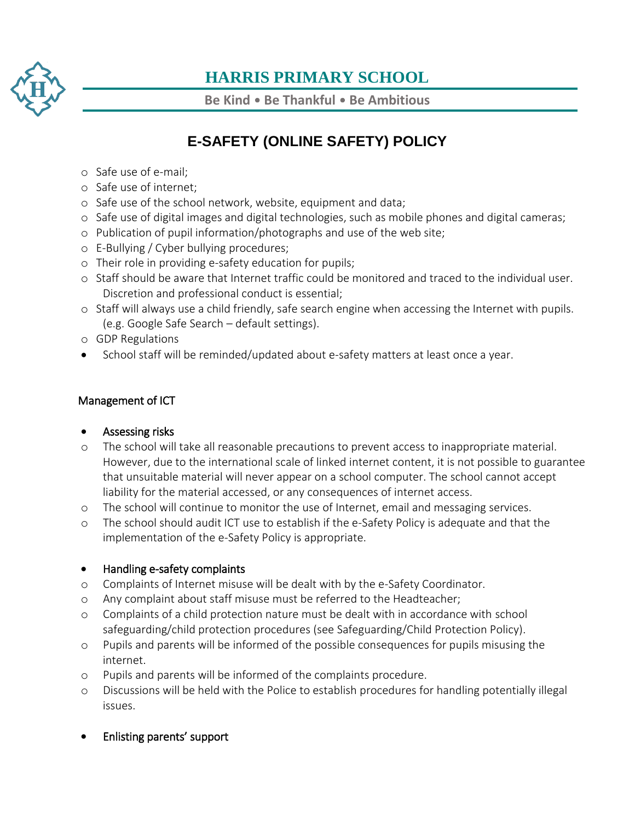

**Be Kind** • **Be Thankful** • **Be Ambitious**

### **E-SAFETY (ONLINE SAFETY) POLICY**

- o Safe use of e-mail;
- o Safe use of internet;
- o Safe use of the school network, website, equipment and data;
- o Safe use of digital images and digital technologies, such as mobile phones and digital cameras;
- o Publication of pupil information/photographs and use of the web site;
- o E-Bullying / Cyber bullying procedures;
- o Their role in providing e-safety education for pupils;
- o Staff should be aware that Internet traffic could be monitored and traced to the individual user. Discretion and professional conduct is essential;
- o Staff will always use a child friendly, safe search engine when accessing the Internet with pupils. (e.g. Google Safe Search – default settings).
- o GDP Regulations
- School staff will be reminded/updated about e-safety matters at least once a year.

#### Management of ICT

#### Assessing risks

- o The school will take all reasonable precautions to prevent access to inappropriate material. However, due to the international scale of linked internet content, it is not possible to guarantee that unsuitable material will never appear on a school computer. The school cannot accept liability for the material accessed, or any consequences of internet access.
- o The school will continue to monitor the use of Internet, email and messaging services.
- o The school should audit ICT use to establish if the e-Safety Policy is adequate and that the implementation of the e-Safety Policy is appropriate.

### • Handling e-safety complaints

- o Complaints of Internet misuse will be dealt with by the e-Safety Coordinator.
- o Any complaint about staff misuse must be referred to the Headteacher;
- o Complaints of a child protection nature must be dealt with in accordance with school safeguarding/child protection procedures (see Safeguarding/Child Protection Policy).
- o Pupils and parents will be informed of the possible consequences for pupils misusing the internet.
- o Pupils and parents will be informed of the complaints procedure.
- o Discussions will be held with the Police to establish procedures for handling potentially illegal issues.
- Enlisting parents' support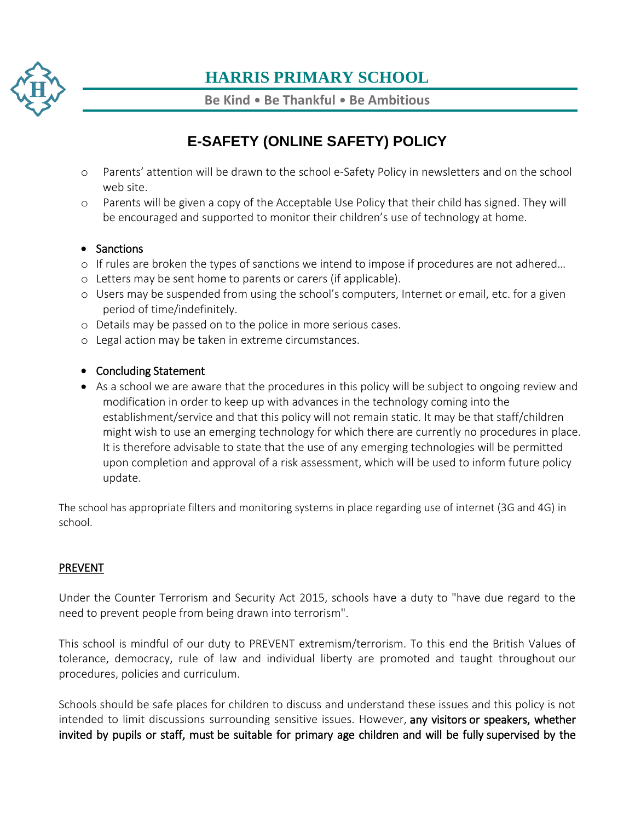

**Be Kind** • **Be Thankful** • **Be Ambitious**

### **E-SAFETY (ONLINE SAFETY) POLICY**

- o Parents' attention will be drawn to the school e-Safety Policy in newsletters and on the school web site.
- o Parents will be given a copy of the Acceptable Use Policy that their child has signed. They will be encouraged and supported to monitor their children's use of technology at home.

#### • Sanctions

- o If rules are broken the types of sanctions we intend to impose if procedures are not adhered…
- o Letters may be sent home to parents or carers (if applicable).
- o Users may be suspended from using the school's computers, Internet or email, etc. for a given period of time/indefinitely.
- o Details may be passed on to the police in more serious cases.
- o Legal action may be taken in extreme circumstances.

#### • Concluding Statement

 As a school we are aware that the procedures in this policy will be subject to ongoing review and modification in order to keep up with advances in the technology coming into the establishment/service and that this policy will not remain static. It may be that staff/children might wish to use an emerging technology for which there are currently no procedures in place. It is therefore advisable to state that the use of any emerging technologies will be permitted upon completion and approval of a risk assessment, which will be used to inform future policy update.

The school has appropriate filters and monitoring systems in place regarding use of internet (3G and 4G) in school.

### PREVENT

Under the Counter Terrorism and Security Act 2015, schools have a duty to "have due regard to the need to prevent people from being drawn into terrorism".

This school is mindful of our duty to PREVENT extremism/terrorism. To this end the British Values of tolerance, democracy, rule of law and individual liberty are promoted and taught throughout our procedures, policies and curriculum.

Schools should be safe places for children to discuss and understand these issues and this policy is not intended to limit discussions surrounding sensitive issues. However, any visitors or speakers, whether invited by pupils or staff, must be suitable for primary age children and will be fully supervised by the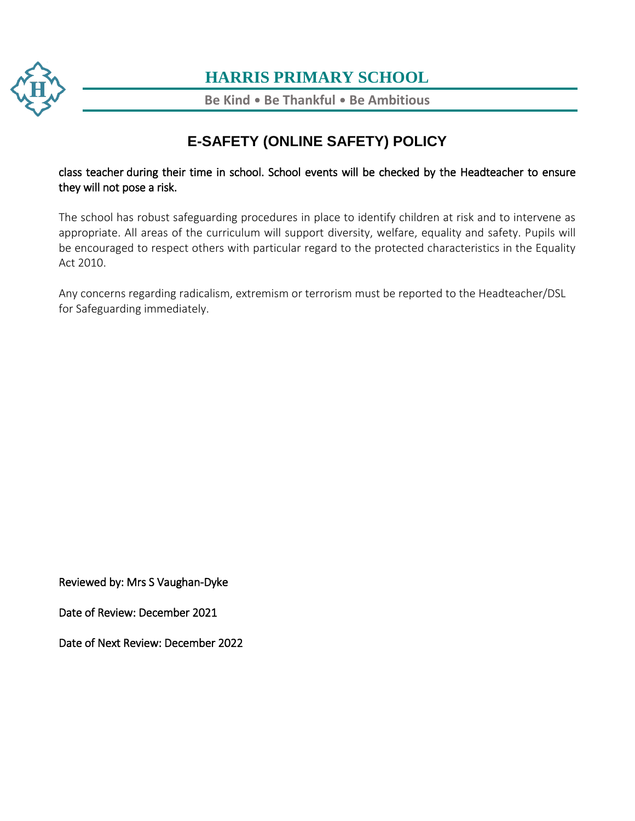

**Be Kind** • **Be Thankful** • **Be Ambitious**

### **E-SAFETY (ONLINE SAFETY) POLICY**

[class](https://www.harris.lancs.sch.uk/) teacher during their time in school. School events will be checked by the Headteacher to ensure they will not pose a risk.

[The](https://www.harris.lancs.sch.uk/contact-details/) school has robust safeguarding procedures in place to identify children at risk and to intervene as appropriate. All areas of the curriculum will support diversity, welfare, equality and safety. Pupils will be encouraged to respect others with particular regard to the protected characteristics in the Equality Act 2010.

Any concerns regarding radicalism, extremism or terrorism must be reported to the Headteacher/DSL for Safeguarding immediately.

Reviewed by: Mrs S Vaughan-Dyke

Date of Review: December 2021

Date of Next Review: December 2022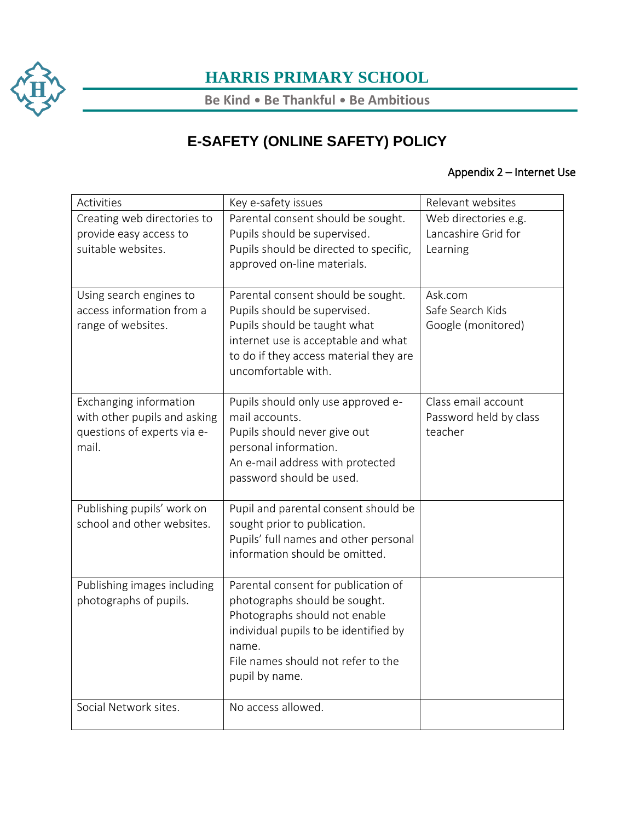

**Be Kind** • **Be Thankful** • **Be Ambitious**

# **E-SAFETY (ONLINE SAFETY) POLICY**

### Appendix 2 – Internet Use

| Activities                                                                                     | Key e-safety issues                                                                                                                                                                                             | Relevant websites                                        |
|------------------------------------------------------------------------------------------------|-----------------------------------------------------------------------------------------------------------------------------------------------------------------------------------------------------------------|----------------------------------------------------------|
| Creating web directories to<br>provide easy access to<br>suitable websites.                    | Parental consent should be sought.<br>Pupils should be supervised.<br>Pupils should be directed to specific,<br>approved on-line materials.                                                                     | Web directories e.g.<br>Lancashire Grid for<br>Learning  |
| Using search engines to<br>access information from a<br>range of websites.                     | Parental consent should be sought.<br>Pupils should be supervised.<br>Pupils should be taught what<br>internet use is acceptable and what<br>to do if they access material they are<br>uncomfortable with.      | Ask.com<br>Safe Search Kids<br>Google (monitored)        |
| Exchanging information<br>with other pupils and asking<br>questions of experts via e-<br>mail. | Pupils should only use approved e-<br>mail accounts.<br>Pupils should never give out<br>personal information.<br>An e-mail address with protected<br>password should be used.                                   | Class email account<br>Password held by class<br>teacher |
| Publishing pupils' work on<br>school and other websites.                                       | Pupil and parental consent should be<br>sought prior to publication.<br>Pupils' full names and other personal<br>information should be omitted.                                                                 |                                                          |
| Publishing images including<br>photographs of pupils.                                          | Parental consent for publication of<br>photographs should be sought.<br>Photographs should not enable<br>individual pupils to be identified by<br>name.<br>File names should not refer to the<br>pupil by name. |                                                          |
| Social Network sites.                                                                          | No access allowed.                                                                                                                                                                                              |                                                          |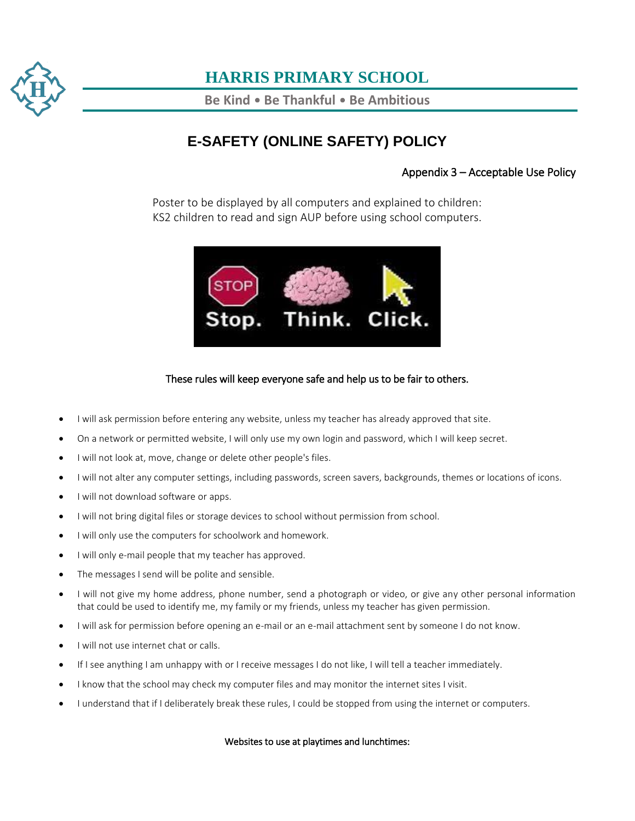

**Be Kind** • **Be Thankful** • **Be Ambitious**

### **E-SAFETY (ONLINE SAFETY) POLICY**

#### Appendix 3 – Acceptable Use Policy

Poster to be displayed by all computers and explained to children: KS2 children to read and sign AUP before using school computers.



#### These rules will keep everyone safe and help us to be fair to others.

- I will ask permission before entering any website, unless my teacher has already approved that site.
- On a network or permitted website, I will only use my own login and password, which I will keep secret.
- I will not look at, move, change or delete other people's files.
- $\bullet$  I will not alter any computer settings, including passwords, screen savers, backgrounds, themes or locations of icons.
- $\bullet$  I will not download software or apps.
- $\bullet$  I will not bring digital files or storage devices to school without permission from school.
- I will only use the computers for schoolwork and homework.
- I will only e-mail people that my teacher has approved.
- The messages I send will be polite and sensible.
- I will not give my home address, phone number, send a photograph or video, or give any other personal information that could be used to identify me, my family or my friends, unless my teacher has given permission.
- I will ask for permission before opening an e-mail or an e-mail attachment sent by someone I do not know.
- I will not use internet chat or calls.
- If I see anything I am unhappy with or I receive messages I do not like, I will tell a teacher immediately.
- I know that the school may check my computer files and may monitor the internet sites I visit.
- I understand that if I deliberately break these rules, I could be stopped from using the internet or computers.

#### Websites to use at playtimes and lunchtimes: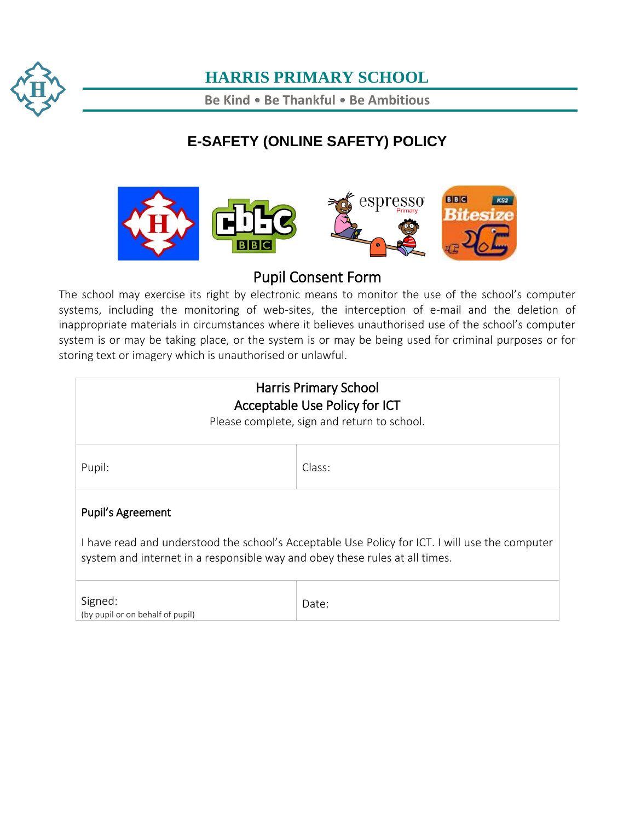

**Be Kind** • **Be Thankful** • **Be Ambitious**

# **E-SAFETY (ONLINE SAFETY) POLICY**



### Pupil Consent Form

The school may exercise its right by electronic means to monitor the use of the school's computer systems, including the monitoring of web-sites, the interception of e-mail and the deletion of inappropriate materials in circumstances where it believes unauthorised use of the school's computer system is or may be taking place, or the system is or may be being used for criminal purposes or for storing text or imagery which is unauthorised or unlawful.

| <b>Harris Primary School</b><br>Acceptable Use Policy for ICT<br>Please complete, sign and return to school.                                                                                       |        |  |
|----------------------------------------------------------------------------------------------------------------------------------------------------------------------------------------------------|--------|--|
| Pupil:                                                                                                                                                                                             | Class: |  |
| Pupil's Agreement<br>I have read and understood the school's Acceptable Use Policy for ICT. I will use the computer<br>system and internet in a responsible way and obey these rules at all times. |        |  |
| Signed:<br>(by pupil or on behalf of pupil)                                                                                                                                                        | Date:  |  |